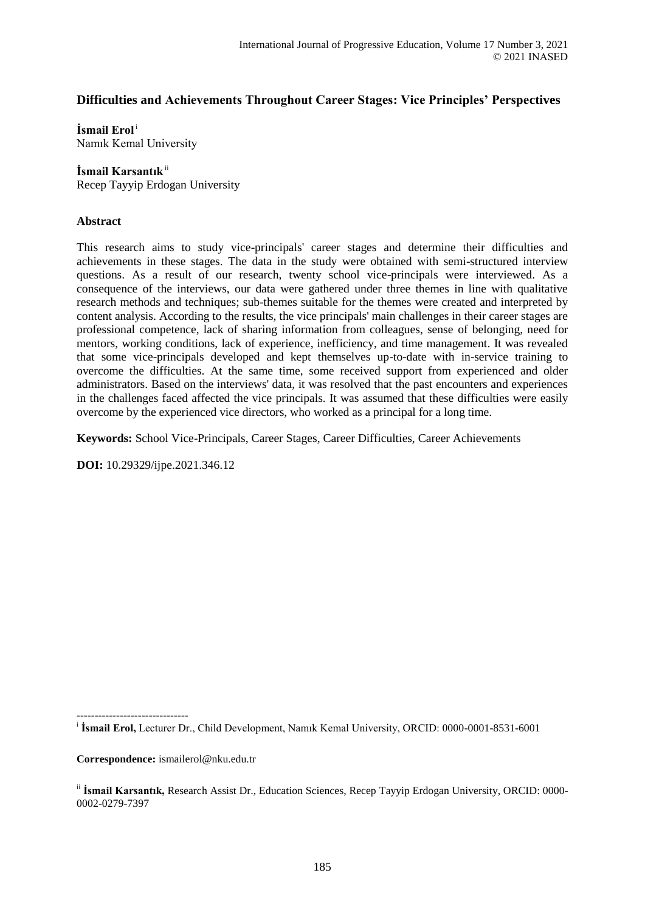# **Difficulties and Achievements Throughout Career Stages: Vice Principles' Perspectives**

**İsmail Erol**<sup>i</sup> Namık Kemal University

#### **İsmail Karsantık**ii

Recep Tayyip Erdogan University

#### **Abstract**

This research aims to study vice-principals' career stages and determine their difficulties and achievements in these stages. The data in the study were obtained with semi-structured interview questions. As a result of our research, twenty school vice-principals were interviewed. As a consequence of the interviews, our data were gathered under three themes in line with qualitative research methods and techniques; sub-themes suitable for the themes were created and interpreted by content analysis. According to the results, the vice principals' main challenges in their career stages are professional competence, lack of sharing information from colleagues, sense of belonging, need for mentors, working conditions, lack of experience, inefficiency, and time management. It was revealed that some vice-principals developed and kept themselves up-to-date with in-service training to overcome the difficulties. At the same time, some received support from experienced and older administrators. Based on the interviews' data, it was resolved that the past encounters and experiences in the challenges faced affected the vice principals. It was assumed that these difficulties were easily overcome by the experienced vice directors, who worked as a principal for a long time.

**Keywords:** School Vice-Principals, Career Stages, Career Difficulties, Career Achievements

**DOI:** 10.29329/ijpe.2021.346.12

**Correspondence:** ismailerol@nku.edu.tr

<sup>------------------------------</sup> i **İsmail Erol,** Lecturer Dr., Child Development, Namık Kemal University, ORCID: 0000-0001-8531-6001

ii **İsmail Karsantık,** Research Assist Dr., Education Sciences, Recep Tayyip Erdogan University, ORCID: 0000- 0002-0279-7397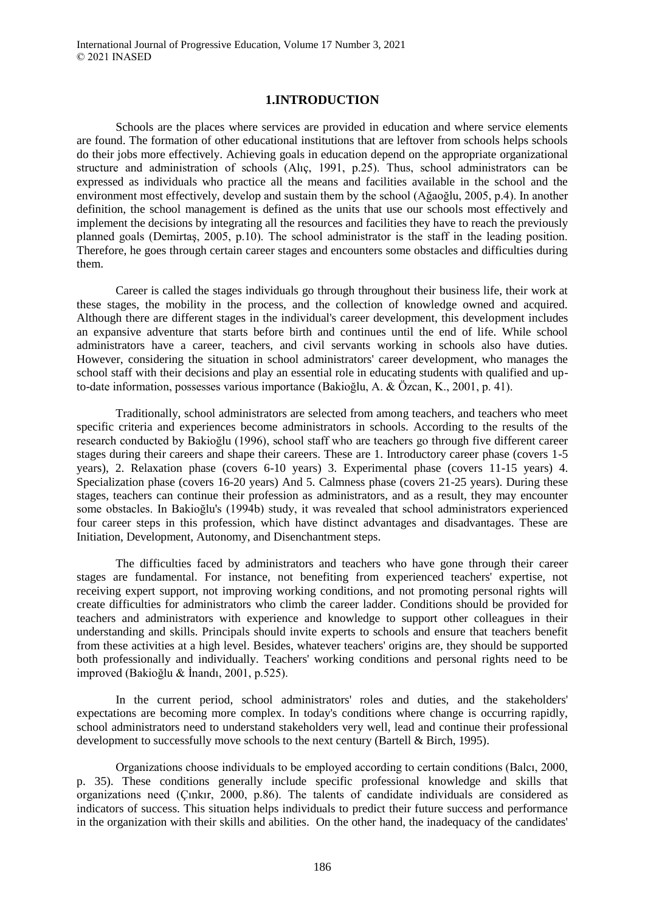#### **1.INTRODUCTION**

Schools are the places where services are provided in education and where service elements are found. The formation of other educational institutions that are leftover from schools helps schools do their jobs more effectively. Achieving goals in education depend on the appropriate organizational structure and administration of schools (Alıç, 1991, p.25). Thus, school administrators can be expressed as individuals who practice all the means and facilities available in the school and the environment most effectively, develop and sustain them by the school (Ağaoğlu, 2005, p.4). In another definition, the school management is defined as the units that use our schools most effectively and implement the decisions by integrating all the resources and facilities they have to reach the previously planned goals (Demirtaş, 2005, p.10). The school administrator is the staff in the leading position. Therefore, he goes through certain career stages and encounters some obstacles and difficulties during them.

Career is called the stages individuals go through throughout their business life, their work at these stages, the mobility in the process, and the collection of knowledge owned and acquired. Although there are different stages in the individual's career development, this development includes an expansive adventure that starts before birth and continues until the end of life. While school administrators have a career, teachers, and civil servants working in schools also have duties. However, considering the situation in school administrators' career development, who manages the school staff with their decisions and play an essential role in educating students with qualified and upto-date information, possesses various importance (Bakioğlu, A. & Özcan, K., 2001, p. 41).

Traditionally, school administrators are selected from among teachers, and teachers who meet specific criteria and experiences become administrators in schools. According to the results of the research conducted by Bakioğlu (1996), school staff who are teachers go through five different career stages during their careers and shape their careers. These are 1. Introductory career phase (covers 1-5 years), 2. Relaxation phase (covers 6-10 years) 3. Experimental phase (covers 11-15 years) 4. Specialization phase (covers 16-20 years) And 5. Calmness phase (covers 21-25 years). During these stages, teachers can continue their profession as administrators, and as a result, they may encounter some obstacles. In Bakioğlu's (1994b) study, it was revealed that school administrators experienced four career steps in this profession, which have distinct advantages and disadvantages. These are Initiation, Development, Autonomy, and Disenchantment steps.

The difficulties faced by administrators and teachers who have gone through their career stages are fundamental. For instance, not benefiting from experienced teachers' expertise, not receiving expert support, not improving working conditions, and not promoting personal rights will create difficulties for administrators who climb the career ladder. Conditions should be provided for teachers and administrators with experience and knowledge to support other colleagues in their understanding and skills. Principals should invite experts to schools and ensure that teachers benefit from these activities at a high level. Besides, whatever teachers' origins are, they should be supported both professionally and individually. Teachers' working conditions and personal rights need to be improved (Bakioğlu & İnandı, 2001, p.525).

In the current period, school administrators' roles and duties, and the stakeholders' expectations are becoming more complex. In today's conditions where change is occurring rapidly, school administrators need to understand stakeholders very well, lead and continue their professional development to successfully move schools to the next century (Bartell & Birch, 1995).

Organizations choose individuals to be employed according to certain conditions (Balcı, 2000, p. 35). These conditions generally include specific professional knowledge and skills that organizations need (Çınkır, 2000, p.86). The talents of candidate individuals are considered as indicators of success. This situation helps individuals to predict their future success and performance in the organization with their skills and abilities. On the other hand, the inadequacy of the candidates'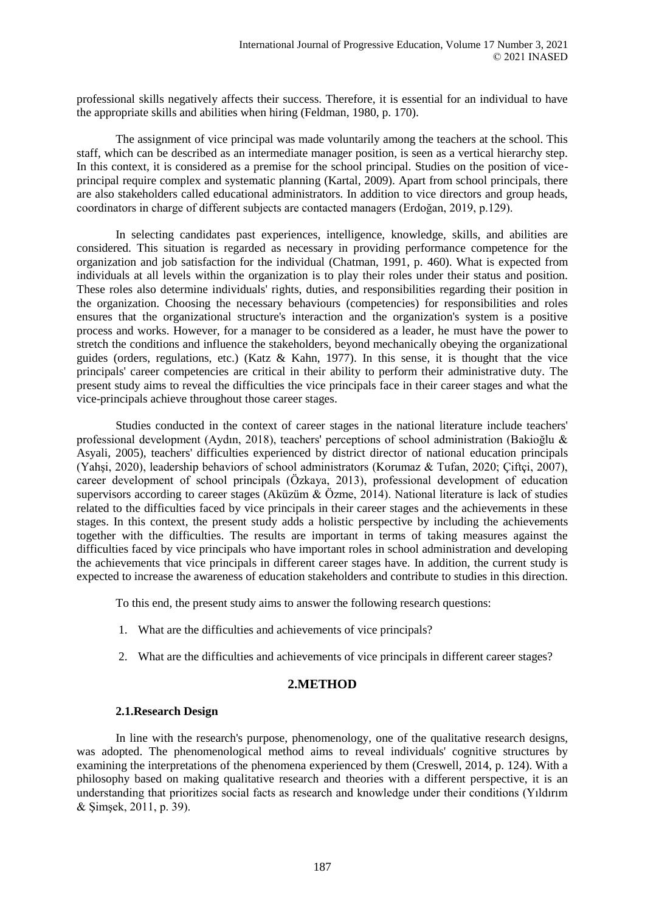professional skills negatively affects their success. Therefore, it is essential for an individual to have the appropriate skills and abilities when hiring (Feldman, 1980, p. 170).

The assignment of vice principal was made voluntarily among the teachers at the school. This staff, which can be described as an intermediate manager position, is seen as a vertical hierarchy step. In this context, it is considered as a premise for the school principal. Studies on the position of viceprincipal require complex and systematic planning (Kartal, 2009). Apart from school principals, there are also stakeholders called educational administrators. In addition to vice directors and group heads, coordinators in charge of different subjects are contacted managers (Erdoğan, 2019, p.129).

In selecting candidates past experiences, intelligence, knowledge, skills, and abilities are considered. This situation is regarded as necessary in providing performance competence for the organization and job satisfaction for the individual (Chatman, 1991, p. 460). What is expected from individuals at all levels within the organization is to play their roles under their status and position. These roles also determine individuals' rights, duties, and responsibilities regarding their position in the organization. Choosing the necessary behaviours (competencies) for responsibilities and roles ensures that the organizational structure's interaction and the organization's system is a positive process and works. However, for a manager to be considered as a leader, he must have the power to stretch the conditions and influence the stakeholders, beyond mechanically obeying the organizational guides (orders, regulations, etc.) (Katz & Kahn, 1977). In this sense, it is thought that the vice principals' career competencies are critical in their ability to perform their administrative duty. The present study aims to reveal the difficulties the vice principals face in their career stages and what the vice-principals achieve throughout those career stages.

Studies conducted in the context of career stages in the national literature include teachers' professional development (Aydın, 2018), teachers' perceptions of school administration (Bakioğlu & Asyali, 2005), teachers' difficulties experienced by district director of national education principals (Yahşi, 2020), leadership behaviors of school administrators (Korumaz & Tufan, 2020; Çiftçi, 2007), career development of school principals (Özkaya, 2013), professional development of education supervisors according to career stages (Aküzüm & Özme, 2014). National literature is lack of studies related to the difficulties faced by vice principals in their career stages and the achievements in these stages. In this context, the present study adds a holistic perspective by including the achievements together with the difficulties. The results are important in terms of taking measures against the difficulties faced by vice principals who have important roles in school administration and developing the achievements that vice principals in different career stages have. In addition, the current study is expected to increase the awareness of education stakeholders and contribute to studies in this direction.

To this end, the present study aims to answer the following research questions:

- 1. What are the difficulties and achievements of vice principals?
- 2. What are the difficulties and achievements of vice principals in different career stages?

#### **2.METHOD**

#### **2.1.Research Design**

In line with the research's purpose, phenomenology, one of the qualitative research designs, was adopted. The phenomenological method aims to reveal individuals' cognitive structures by examining the interpretations of the phenomena experienced by them (Creswell, 2014, p. 124). With a philosophy based on making qualitative research and theories with a different perspective, it is an understanding that prioritizes social facts as research and knowledge under their conditions (Yıldırım & Şimşek, 2011, p. 39).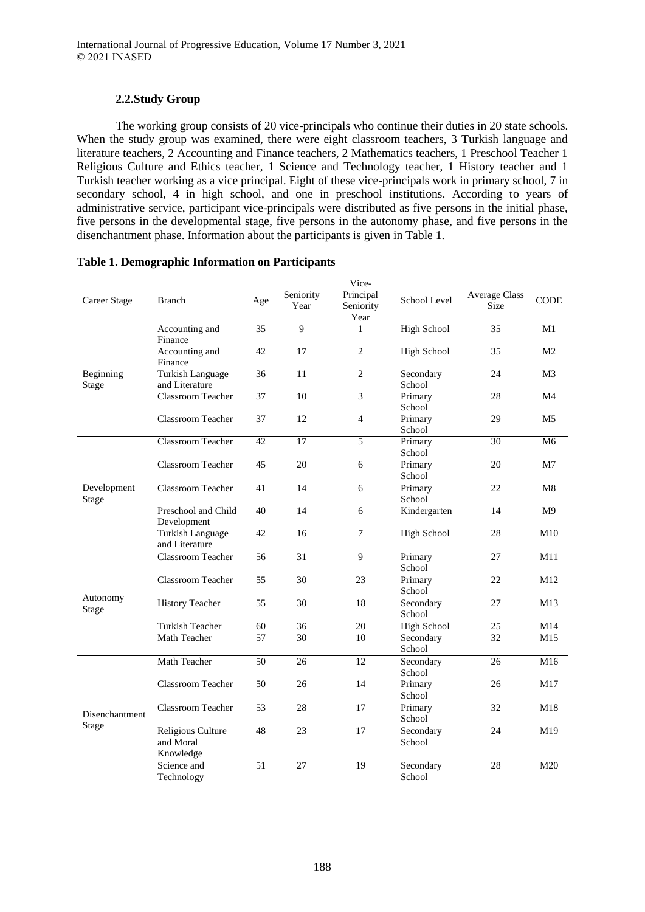## **2.2.Study Group**

The working group consists of 20 vice-principals who continue their duties in 20 state schools. When the study group was examined, there were eight classroom teachers, 3 Turkish language and literature teachers, 2 Accounting and Finance teachers, 2 Mathematics teachers, 1 Preschool Teacher 1 Religious Culture and Ethics teacher, 1 Science and Technology teacher, 1 History teacher and 1 Turkish teacher working as a vice principal. Eight of these vice-principals work in primary school, 7 in secondary school, 4 in high school, and one in preschool institutions. According to years of administrative service, participant vice-principals were distributed as five persons in the initial phase, five persons in the developmental stage, five persons in the autonomy phase, and five persons in the disenchantment phase. Information about the participants is given in Table 1.

|                         |                          |                 |                 | Vice-          |                     |                      |                |
|-------------------------|--------------------------|-----------------|-----------------|----------------|---------------------|----------------------|----------------|
| Career Stage            | <b>Branch</b>            | Age             | Seniority       | Principal      | <b>School Level</b> | <b>Average Class</b> | <b>CODE</b>    |
|                         |                          |                 | Year            | Seniority      |                     | Size                 |                |
|                         |                          |                 |                 | Year           |                     |                      |                |
|                         | Accounting and           | 35              | 9               | 1              | <b>High School</b>  | 35                   | M1             |
|                         | Finance                  |                 |                 |                |                     |                      |                |
|                         | Accounting and           | 42              | 17              | $\overline{c}$ | High School         | 35                   | M <sub>2</sub> |
|                         | Finance                  |                 |                 |                |                     |                      |                |
| Beginning<br>Stage      | Turkish Language         | 36              | 11              | $\overline{c}$ | Secondary           | 24                   | M <sub>3</sub> |
|                         | and Literature           |                 |                 |                | School              |                      |                |
|                         | <b>Classroom Teacher</b> | 37              | 10              | 3              | Primary             | 28                   | M4             |
|                         |                          |                 |                 |                | School              |                      |                |
|                         | Classroom Teacher        | 37              | 12              | $\overline{4}$ | Primary             | 29                   | M <sub>5</sub> |
|                         |                          |                 |                 |                | School              |                      |                |
|                         | <b>Classroom Teacher</b> | $\overline{42}$ | $\overline{17}$ | 5              | Primary             | 30                   | M6             |
|                         |                          |                 |                 |                | School              |                      |                |
|                         | <b>Classroom Teacher</b> | 45              | 20              | 6              | Primary             | 20                   | M <sub>7</sub> |
| Development<br>Stage    |                          |                 |                 |                | School              |                      |                |
|                         | Classroom Teacher        | 41              | 14              | 6              | Primary             | 22                   | M8             |
|                         |                          |                 |                 |                | School              |                      |                |
|                         | Preschool and Child      | 40              | 14              | 6              | Kindergarten        | 14                   | M <sub>9</sub> |
|                         | Development              |                 |                 |                |                     |                      |                |
|                         | Turkish Language         | 42              | 16              | 7              | <b>High School</b>  | 28                   | M10            |
|                         | and Literature           |                 |                 |                |                     |                      |                |
| Autonomy<br>Stage       | Classroom Teacher        | 56              | $\overline{31}$ | 9              | Primary             | 27                   | M11            |
|                         |                          |                 |                 |                | School              |                      |                |
|                         | <b>Classroom Teacher</b> | 55              | 30              | 23             | Primary             | 22                   | M12            |
|                         |                          |                 |                 |                | School              |                      |                |
|                         | <b>History Teacher</b>   | 55              | 30              | 18             | Secondary           | 27                   | M13            |
|                         |                          |                 |                 |                | School              |                      |                |
|                         | Turkish Teacher          | 60              | 36              | 20             | <b>High School</b>  | 25                   | M14            |
|                         | Math Teacher             | 57              | 30              | 10             | Secondary           | 32                   | M15            |
|                         |                          |                 |                 |                | School              |                      |                |
| Disenchantment<br>Stage | Math Teacher             | 50              | 26              | 12             | Secondary           | 26                   | M16            |
|                         |                          |                 |                 |                | School              |                      |                |
|                         | Classroom Teacher        | 50              | 26              | 14             | Primary             | 26                   | M17            |
|                         |                          |                 |                 |                | School              |                      |                |
|                         | Classroom Teacher        | 53              | 28              | 17             | Primary             | 32                   | M18            |
|                         |                          |                 |                 |                | School              |                      |                |
|                         | Religious Culture        | 48              | 23              | 17             | Secondary           | 24                   | M19            |
|                         | and Moral                |                 |                 |                | School              |                      |                |
|                         | Knowledge                |                 |                 |                |                     |                      |                |
|                         | Science and              | 51              | 27              | 19             | Secondary           | 28                   | M20            |
|                         | Technology               |                 |                 |                | School              |                      |                |
|                         |                          |                 |                 |                |                     |                      |                |

## **Table 1. Demographic Information on Participants**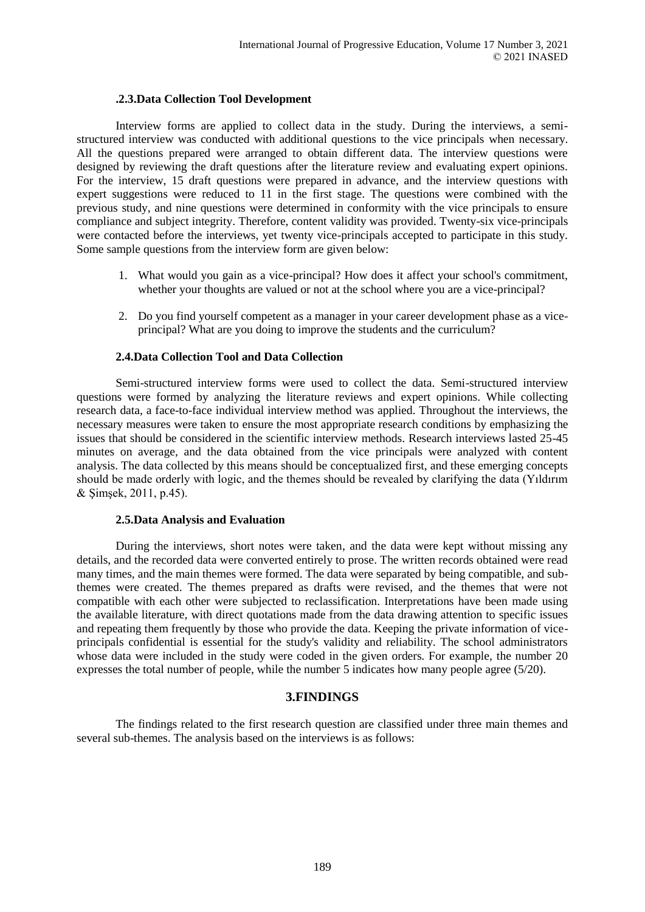#### **.2.3.Data Collection Tool Development**

Interview forms are applied to collect data in the study. During the interviews, a semistructured interview was conducted with additional questions to the vice principals when necessary. All the questions prepared were arranged to obtain different data. The interview questions were designed by reviewing the draft questions after the literature review and evaluating expert opinions. For the interview, 15 draft questions were prepared in advance, and the interview questions with expert suggestions were reduced to 11 in the first stage. The questions were combined with the previous study, and nine questions were determined in conformity with the vice principals to ensure compliance and subject integrity. Therefore, content validity was provided. Twenty-six vice-principals were contacted before the interviews, yet twenty vice-principals accepted to participate in this study. Some sample questions from the interview form are given below:

- 1. What would you gain as a vice-principal? How does it affect your school's commitment, whether your thoughts are valued or not at the school where you are a vice-principal?
- 2. Do you find yourself competent as a manager in your career development phase as a viceprincipal? What are you doing to improve the students and the curriculum?

## **2.4.Data Collection Tool and Data Collection**

Semi-structured interview forms were used to collect the data. Semi-structured interview questions were formed by analyzing the literature reviews and expert opinions. While collecting research data, a face-to-face individual interview method was applied. Throughout the interviews, the necessary measures were taken to ensure the most appropriate research conditions by emphasizing the issues that should be considered in the scientific interview methods. Research interviews lasted 25-45 minutes on average, and the data obtained from the vice principals were analyzed with content analysis. The data collected by this means should be conceptualized first, and these emerging concepts should be made orderly with logic, and the themes should be revealed by clarifying the data (Yıldırım & Şimşek, 2011, p.45).

#### **2.5.Data Analysis and Evaluation**

During the interviews, short notes were taken, and the data were kept without missing any details, and the recorded data were converted entirely to prose. The written records obtained were read many times, and the main themes were formed. The data were separated by being compatible, and subthemes were created. The themes prepared as drafts were revised, and the themes that were not compatible with each other were subjected to reclassification. Interpretations have been made using the available literature, with direct quotations made from the data drawing attention to specific issues and repeating them frequently by those who provide the data. Keeping the private information of viceprincipals confidential is essential for the study's validity and reliability. The school administrators whose data were included in the study were coded in the given orders. For example, the number 20 expresses the total number of people, while the number 5 indicates how many people agree (5/20).

#### **3.FINDINGS**

The findings related to the first research question are classified under three main themes and several sub-themes. The analysis based on the interviews is as follows: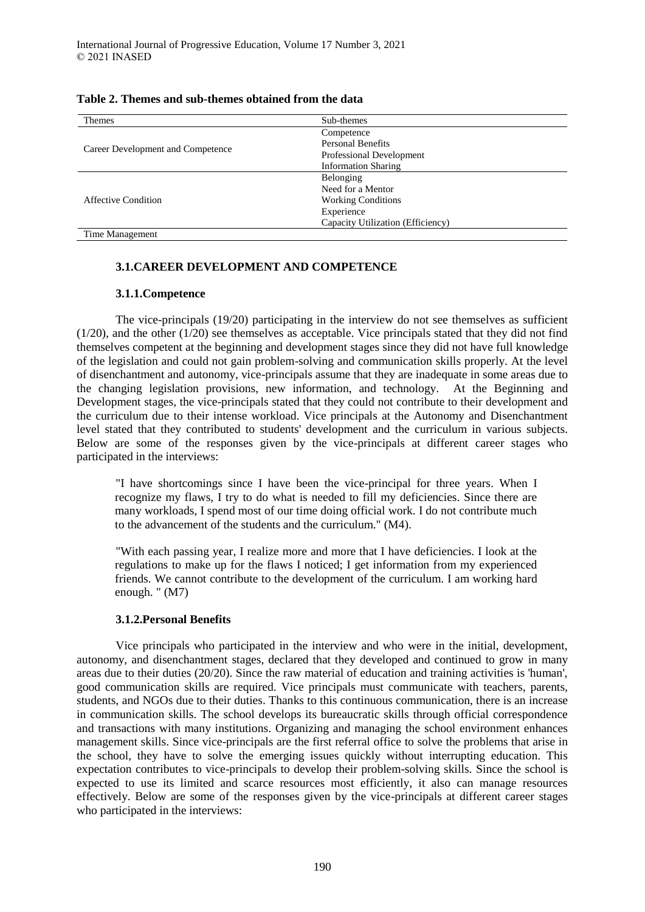| <b>Themes</b>                     | Sub-themes                             |  |
|-----------------------------------|----------------------------------------|--|
|                                   | Competence<br><b>Personal Benefits</b> |  |
|                                   |                                        |  |
| Career Development and Competence | Professional Development               |  |
|                                   | <b>Information Sharing</b>             |  |
|                                   | Belonging                              |  |
|                                   | Need for a Mentor                      |  |
| Affective Condition               | <b>Working Conditions</b>              |  |
|                                   | Experience                             |  |
|                                   | Capacity Utilization (Efficiency)      |  |
| Time Management                   |                                        |  |

|  | Table 2. Themes and sub-themes obtained from the data |  |  |
|--|-------------------------------------------------------|--|--|
|--|-------------------------------------------------------|--|--|

## **3.1.CAREER DEVELOPMENT AND COMPETENCE**

#### **3.1.1.Competence**

The vice-principals (19/20) participating in the interview do not see themselves as sufficient (1/20), and the other (1/20) see themselves as acceptable. Vice principals stated that they did not find themselves competent at the beginning and development stages since they did not have full knowledge of the legislation and could not gain problem-solving and communication skills properly. At the level of disenchantment and autonomy, vice-principals assume that they are inadequate in some areas due to the changing legislation provisions, new information, and technology. At the Beginning and Development stages, the vice-principals stated that they could not contribute to their development and the curriculum due to their intense workload. Vice principals at the Autonomy and Disenchantment level stated that they contributed to students' development and the curriculum in various subjects. Below are some of the responses given by the vice-principals at different career stages who participated in the interviews:

"I have shortcomings since I have been the vice-principal for three years. When I recognize my flaws, I try to do what is needed to fill my deficiencies. Since there are many workloads, I spend most of our time doing official work. I do not contribute much to the advancement of the students and the curriculum." (M4).

"With each passing year, I realize more and more that I have deficiencies. I look at the regulations to make up for the flaws I noticed; I get information from my experienced friends. We cannot contribute to the development of the curriculum. I am working hard enough. " (M7)

#### **3.1.2.Personal Benefits**

Vice principals who participated in the interview and who were in the initial, development, autonomy, and disenchantment stages, declared that they developed and continued to grow in many areas due to their duties (20/20). Since the raw material of education and training activities is 'human', good communication skills are required. Vice principals must communicate with teachers, parents, students, and NGOs due to their duties. Thanks to this continuous communication, there is an increase in communication skills. The school develops its bureaucratic skills through official correspondence and transactions with many institutions. Organizing and managing the school environment enhances management skills. Since vice-principals are the first referral office to solve the problems that arise in the school, they have to solve the emerging issues quickly without interrupting education. This expectation contributes to vice-principals to develop their problem-solving skills. Since the school is expected to use its limited and scarce resources most efficiently, it also can manage resources effectively. Below are some of the responses given by the vice-principals at different career stages who participated in the interviews: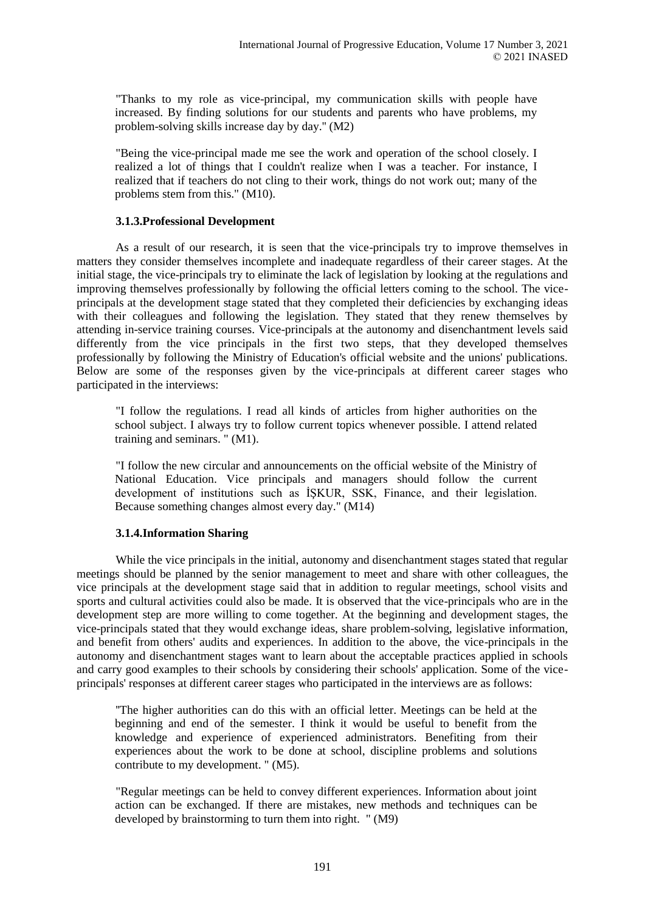"Thanks to my role as vice-principal, my communication skills with people have increased. By finding solutions for our students and parents who have problems, my problem-solving skills increase day by day.'' (M2)

"Being the vice-principal made me see the work and operation of the school closely. I realized a lot of things that I couldn't realize when I was a teacher. For instance, I realized that if teachers do not cling to their work, things do not work out; many of the problems stem from this." (M10).

#### **3.1.3.Professional Development**

As a result of our research, it is seen that the vice-principals try to improve themselves in matters they consider themselves incomplete and inadequate regardless of their career stages. At the initial stage, the vice-principals try to eliminate the lack of legislation by looking at the regulations and improving themselves professionally by following the official letters coming to the school. The viceprincipals at the development stage stated that they completed their deficiencies by exchanging ideas with their colleagues and following the legislation. They stated that they renew themselves by attending in-service training courses. Vice-principals at the autonomy and disenchantment levels said differently from the vice principals in the first two steps, that they developed themselves professionally by following the Ministry of Education's official website and the unions' publications. Below are some of the responses given by the vice-principals at different career stages who participated in the interviews:

"I follow the regulations. I read all kinds of articles from higher authorities on the school subject. I always try to follow current topics whenever possible. I attend related training and seminars. " (M1).

"I follow the new circular and announcements on the official website of the Ministry of National Education. Vice principals and managers should follow the current development of institutions such as ISKUR, SSK, Finance, and their legislation. Because something changes almost every day." (M14)

## **3.1.4.Information Sharing**

While the vice principals in the initial, autonomy and disenchantment stages stated that regular meetings should be planned by the senior management to meet and share with other colleagues, the vice principals at the development stage said that in addition to regular meetings, school visits and sports and cultural activities could also be made. It is observed that the vice-principals who are in the development step are more willing to come together. At the beginning and development stages, the vice-principals stated that they would exchange ideas, share problem-solving, legislative information, and benefit from others' audits and experiences. In addition to the above, the vice-principals in the autonomy and disenchantment stages want to learn about the acceptable practices applied in schools and carry good examples to their schools by considering their schools' application. Some of the viceprincipals' responses at different career stages who participated in the interviews are as follows:

''The higher authorities can do this with an official letter. Meetings can be held at the beginning and end of the semester. I think it would be useful to benefit from the knowledge and experience of experienced administrators. Benefiting from their experiences about the work to be done at school, discipline problems and solutions contribute to my development. " (M5).

"Regular meetings can be held to convey different experiences. Information about joint action can be exchanged. If there are mistakes, new methods and techniques can be developed by brainstorming to turn them into right. " (M9)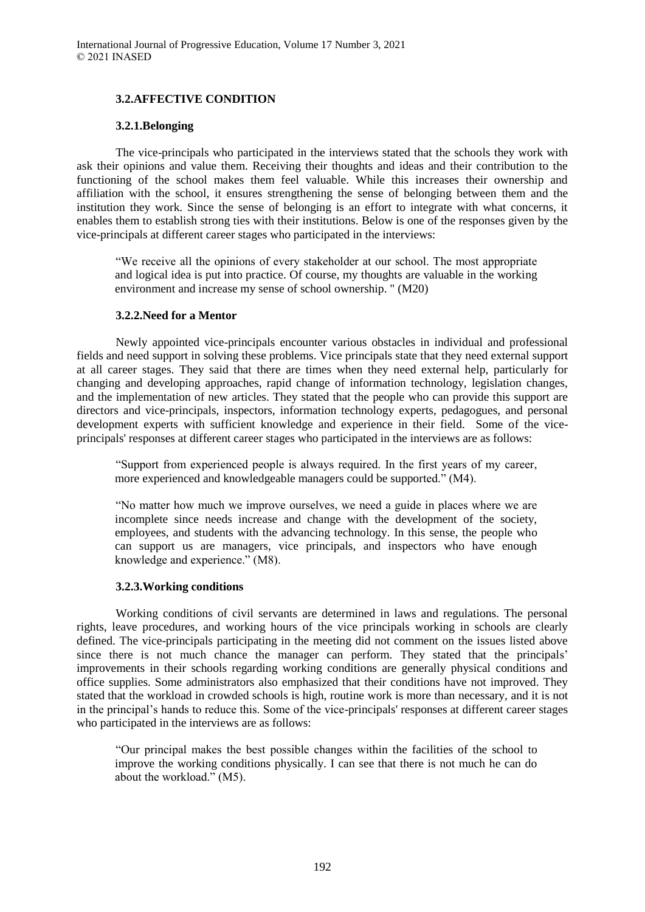## **3.2.AFFECTIVE CONDITION**

#### **3.2.1.Belonging**

The vice-principals who participated in the interviews stated that the schools they work with ask their opinions and value them. Receiving their thoughts and ideas and their contribution to the functioning of the school makes them feel valuable. While this increases their ownership and affiliation with the school, it ensures strengthening the sense of belonging between them and the institution they work. Since the sense of belonging is an effort to integrate with what concerns, it enables them to establish strong ties with their institutions. Below is one of the responses given by the vice-principals at different career stages who participated in the interviews:

"We receive all the opinions of every stakeholder at our school. The most appropriate and logical idea is put into practice. Of course, my thoughts are valuable in the working environment and increase my sense of school ownership. " (M20)

## **3.2.2.Need for a Mentor**

Newly appointed vice-principals encounter various obstacles in individual and professional fields and need support in solving these problems. Vice principals state that they need external support at all career stages. They said that there are times when they need external help, particularly for changing and developing approaches, rapid change of information technology, legislation changes, and the implementation of new articles. They stated that the people who can provide this support are directors and vice-principals, inspectors, information technology experts, pedagogues, and personal development experts with sufficient knowledge and experience in their field. Some of the viceprincipals' responses at different career stages who participated in the interviews are as follows:

"Support from experienced people is always required. In the first years of my career, more experienced and knowledgeable managers could be supported." (M4).

"No matter how much we improve ourselves, we need a guide in places where we are incomplete since needs increase and change with the development of the society, employees, and students with the advancing technology. In this sense, the people who can support us are managers, vice principals, and inspectors who have enough knowledge and experience." (M8).

#### **3.2.3.Working conditions**

Working conditions of civil servants are determined in laws and regulations. The personal rights, leave procedures, and working hours of the vice principals working in schools are clearly defined. The vice-principals participating in the meeting did not comment on the issues listed above since there is not much chance the manager can perform. They stated that the principals' improvements in their schools regarding working conditions are generally physical conditions and office supplies. Some administrators also emphasized that their conditions have not improved. They stated that the workload in crowded schools is high, routine work is more than necessary, and it is not in the principal's hands to reduce this. Some of the vice-principals' responses at different career stages who participated in the interviews are as follows:

"Our principal makes the best possible changes within the facilities of the school to improve the working conditions physically. I can see that there is not much he can do about the workload." (M5).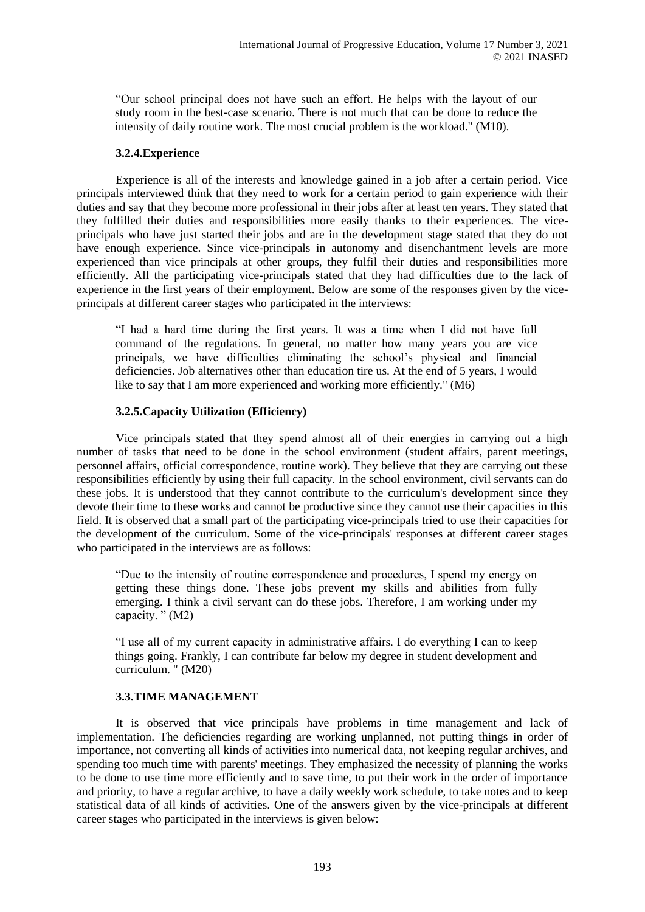"Our school principal does not have such an effort. He helps with the layout of our study room in the best-case scenario. There is not much that can be done to reduce the intensity of daily routine work. The most crucial problem is the workload." (M10).

#### **3.2.4.Experience**

Experience is all of the interests and knowledge gained in a job after a certain period. Vice principals interviewed think that they need to work for a certain period to gain experience with their duties and say that they become more professional in their jobs after at least ten years. They stated that they fulfilled their duties and responsibilities more easily thanks to their experiences. The viceprincipals who have just started their jobs and are in the development stage stated that they do not have enough experience. Since vice-principals in autonomy and disenchantment levels are more experienced than vice principals at other groups, they fulfil their duties and responsibilities more efficiently. All the participating vice-principals stated that they had difficulties due to the lack of experience in the first years of their employment. Below are some of the responses given by the viceprincipals at different career stages who participated in the interviews:

"I had a hard time during the first years. It was a time when I did not have full command of the regulations. In general, no matter how many years you are vice principals, we have difficulties eliminating the school's physical and financial deficiencies. Job alternatives other than education tire us. At the end of 5 years, I would like to say that I am more experienced and working more efficiently." (M6)

## **3.2.5.Capacity Utilization (Efficiency)**

Vice principals stated that they spend almost all of their energies in carrying out a high number of tasks that need to be done in the school environment (student affairs, parent meetings, personnel affairs, official correspondence, routine work). They believe that they are carrying out these responsibilities efficiently by using their full capacity. In the school environment, civil servants can do these jobs. It is understood that they cannot contribute to the curriculum's development since they devote their time to these works and cannot be productive since they cannot use their capacities in this field. It is observed that a small part of the participating vice-principals tried to use their capacities for the development of the curriculum. Some of the vice-principals' responses at different career stages who participated in the interviews are as follows:

"Due to the intensity of routine correspondence and procedures, I spend my energy on getting these things done. These jobs prevent my skills and abilities from fully emerging. I think a civil servant can do these jobs. Therefore, I am working under my capacity. " (M2)

"I use all of my current capacity in administrative affairs. I do everything I can to keep things going. Frankly, I can contribute far below my degree in student development and curriculum. " (M20)

## **3.3.TIME MANAGEMENT**

It is observed that vice principals have problems in time management and lack of implementation. The deficiencies regarding are working unplanned, not putting things in order of importance, not converting all kinds of activities into numerical data, not keeping regular archives, and spending too much time with parents' meetings. They emphasized the necessity of planning the works to be done to use time more efficiently and to save time, to put their work in the order of importance and priority, to have a regular archive, to have a daily weekly work schedule, to take notes and to keep statistical data of all kinds of activities. One of the answers given by the vice-principals at different career stages who participated in the interviews is given below: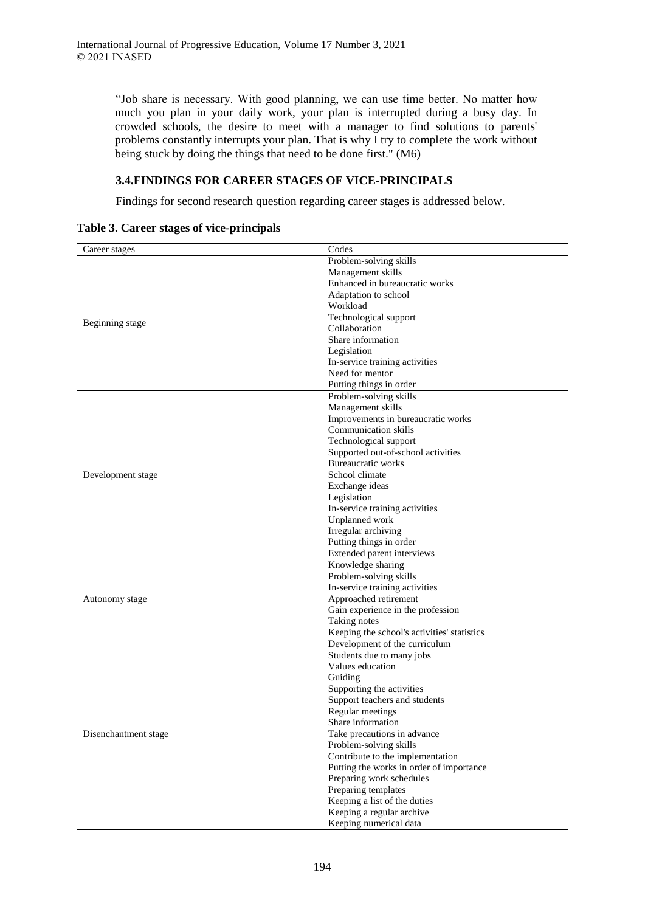"Job share is necessary. With good planning, we can use time better. No matter how much you plan in your daily work, your plan is interrupted during a busy day. In crowded schools, the desire to meet with a manager to find solutions to parents' problems constantly interrupts your plan. That is why I try to complete the work without being stuck by doing the things that need to be done first." (M6)

## **3.4.FINDINGS FOR CAREER STAGES OF VICE-PRINCIPALS**

Findings for second research question regarding career stages is addressed below.

| Career stages        | Codes                                       |
|----------------------|---------------------------------------------|
|                      | Problem-solving skills                      |
|                      | Management skills                           |
|                      | Enhanced in bureaucratic works              |
|                      | Adaptation to school                        |
|                      | Workload                                    |
|                      | Technological support                       |
| Beginning stage      | Collaboration                               |
|                      | Share information                           |
|                      | Legislation                                 |
|                      | In-service training activities              |
|                      | Need for mentor                             |
|                      | Putting things in order                     |
|                      | Problem-solving skills                      |
|                      | Management skills                           |
|                      | Improvements in bureaucratic works          |
|                      | <b>Communication skills</b>                 |
|                      | Technological support                       |
|                      | Supported out-of-school activities          |
|                      | <b>Bureaucratic works</b>                   |
| Development stage    | School climate                              |
|                      |                                             |
|                      | Exchange ideas<br>Legislation               |
|                      |                                             |
|                      | In-service training activities              |
|                      | Unplanned work                              |
|                      | Irregular archiving                         |
|                      | Putting things in order                     |
|                      | Extended parent interviews                  |
|                      | Knowledge sharing                           |
|                      | Problem-solving skills                      |
|                      | In-service training activities              |
| Autonomy stage       | Approached retirement                       |
|                      | Gain experience in the profession           |
|                      | Taking notes                                |
|                      | Keeping the school's activities' statistics |
|                      | Development of the curriculum               |
|                      | Students due to many jobs                   |
|                      | Values education                            |
|                      | Guiding                                     |
|                      | Supporting the activities                   |
|                      | Support teachers and students               |
|                      | Regular meetings                            |
|                      | Share information                           |
| Disenchantment stage | Take precautions in advance                 |
|                      | Problem-solving skills                      |
|                      | Contribute to the implementation            |
|                      | Putting the works in order of importance    |
|                      | Preparing work schedules                    |
|                      | Preparing templates                         |
|                      | Keeping a list of the duties                |
|                      | Keeping a regular archive                   |
|                      | Keeping numerical data                      |

#### **Table 3. Career stages of vice-principals**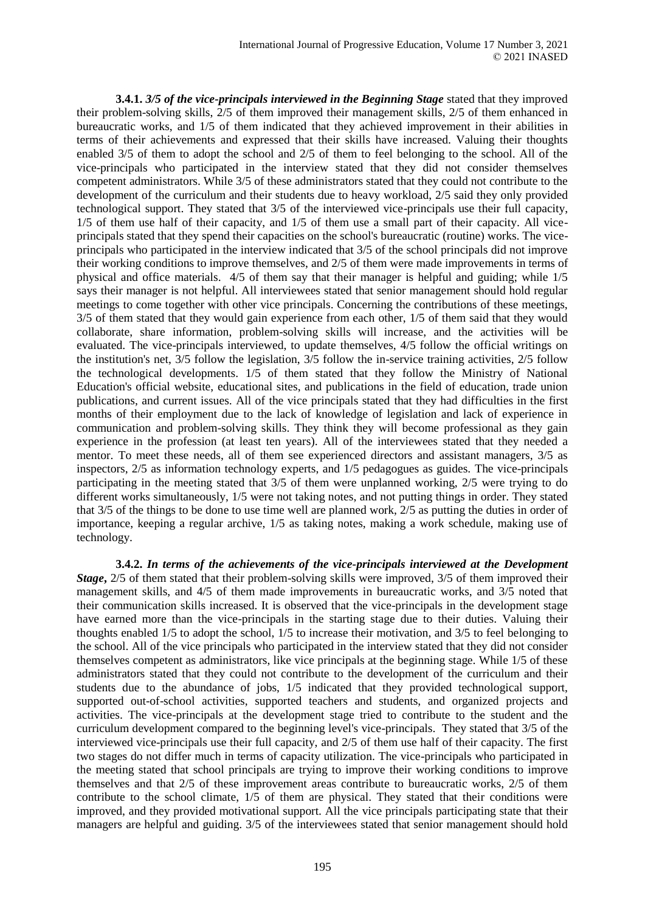**3.4.1.** *3/5 of the vice-principals interviewed in the Beginning Stage* stated that they improved their problem-solving skills, 2/5 of them improved their management skills, 2/5 of them enhanced in bureaucratic works, and 1/5 of them indicated that they achieved improvement in their abilities in terms of their achievements and expressed that their skills have increased. Valuing their thoughts enabled 3/5 of them to adopt the school and 2/5 of them to feel belonging to the school. All of the vice-principals who participated in the interview stated that they did not consider themselves competent administrators. While 3/5 of these administrators stated that they could not contribute to the development of the curriculum and their students due to heavy workload, 2/5 said they only provided technological support. They stated that 3/5 of the interviewed vice-principals use their full capacity, 1/5 of them use half of their capacity, and 1/5 of them use a small part of their capacity. All viceprincipals stated that they spend their capacities on the school's bureaucratic (routine) works. The viceprincipals who participated in the interview indicated that 3/5 of the school principals did not improve their working conditions to improve themselves, and 2/5 of them were made improvements in terms of physical and office materials. 4/5 of them say that their manager is helpful and guiding; while 1/5 says their manager is not helpful. All interviewees stated that senior management should hold regular meetings to come together with other vice principals. Concerning the contributions of these meetings, 3/5 of them stated that they would gain experience from each other, 1/5 of them said that they would collaborate, share information, problem-solving skills will increase, and the activities will be evaluated. The vice-principals interviewed, to update themselves, 4/5 follow the official writings on the institution's net, 3/5 follow the legislation, 3/5 follow the in-service training activities, 2/5 follow the technological developments. 1/5 of them stated that they follow the Ministry of National Education's official website, educational sites, and publications in the field of education, trade union publications, and current issues. All of the vice principals stated that they had difficulties in the first months of their employment due to the lack of knowledge of legislation and lack of experience in communication and problem-solving skills. They think they will become professional as they gain experience in the profession (at least ten years). All of the interviewees stated that they needed a mentor. To meet these needs, all of them see experienced directors and assistant managers, 3/5 as inspectors, 2/5 as information technology experts, and 1/5 pedagogues as guides. The vice-principals participating in the meeting stated that 3/5 of them were unplanned working, 2/5 were trying to do different works simultaneously, 1/5 were not taking notes, and not putting things in order. They stated that 3/5 of the things to be done to use time well are planned work, 2/5 as putting the duties in order of importance, keeping a regular archive, 1/5 as taking notes, making a work schedule, making use of technology.

**3.4.2.** *In terms of the achievements of the vice-principals interviewed at the Development Stage*, 2/5 of them stated that their problem-solving skills were improved, 3/5 of them improved their management skills, and 4/5 of them made improvements in bureaucratic works, and 3/5 noted that their communication skills increased. It is observed that the vice-principals in the development stage have earned more than the vice-principals in the starting stage due to their duties. Valuing their thoughts enabled 1/5 to adopt the school, 1/5 to increase their motivation, and 3/5 to feel belonging to the school. All of the vice principals who participated in the interview stated that they did not consider themselves competent as administrators, like vice principals at the beginning stage. While 1/5 of these administrators stated that they could not contribute to the development of the curriculum and their students due to the abundance of jobs, 1/5 indicated that they provided technological support, supported out-of-school activities, supported teachers and students, and organized projects and activities. The vice-principals at the development stage tried to contribute to the student and the curriculum development compared to the beginning level's vice-principals. They stated that 3/5 of the interviewed vice-principals use their full capacity, and 2/5 of them use half of their capacity. The first two stages do not differ much in terms of capacity utilization. The vice-principals who participated in the meeting stated that school principals are trying to improve their working conditions to improve themselves and that 2/5 of these improvement areas contribute to bureaucratic works, 2/5 of them contribute to the school climate, 1/5 of them are physical. They stated that their conditions were improved, and they provided motivational support. All the vice principals participating state that their managers are helpful and guiding. 3/5 of the interviewees stated that senior management should hold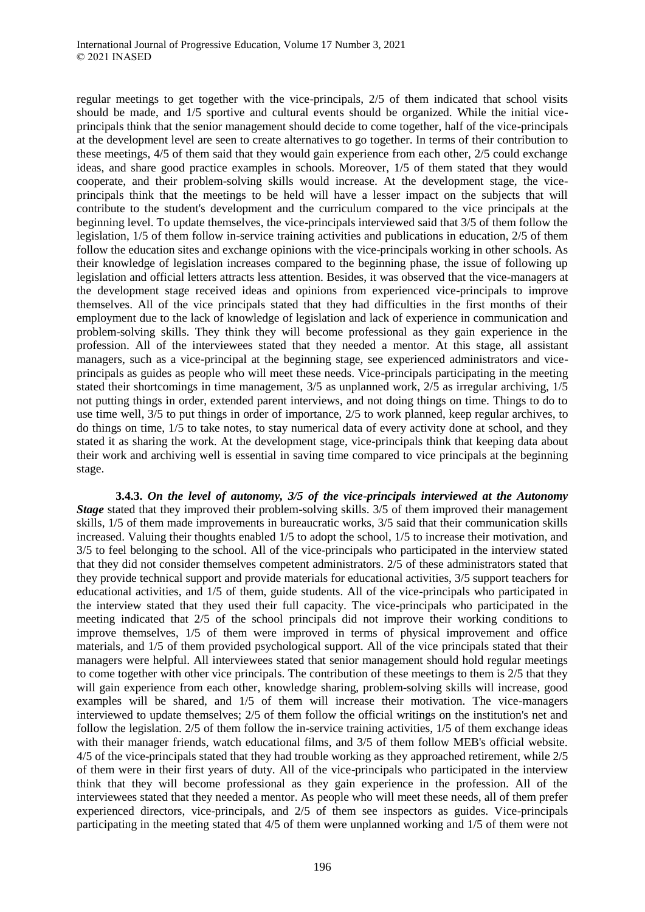regular meetings to get together with the vice-principals, 2/5 of them indicated that school visits should be made, and 1/5 sportive and cultural events should be organized. While the initial viceprincipals think that the senior management should decide to come together, half of the vice-principals at the development level are seen to create alternatives to go together. In terms of their contribution to these meetings, 4/5 of them said that they would gain experience from each other, 2/5 could exchange ideas, and share good practice examples in schools. Moreover, 1/5 of them stated that they would cooperate, and their problem-solving skills would increase. At the development stage, the viceprincipals think that the meetings to be held will have a lesser impact on the subjects that will contribute to the student's development and the curriculum compared to the vice principals at the beginning level. To update themselves, the vice-principals interviewed said that 3/5 of them follow the legislation, 1/5 of them follow in-service training activities and publications in education, 2/5 of them follow the education sites and exchange opinions with the vice-principals working in other schools. As their knowledge of legislation increases compared to the beginning phase, the issue of following up legislation and official letters attracts less attention. Besides, it was observed that the vice-managers at the development stage received ideas and opinions from experienced vice-principals to improve themselves. All of the vice principals stated that they had difficulties in the first months of their employment due to the lack of knowledge of legislation and lack of experience in communication and problem-solving skills. They think they will become professional as they gain experience in the profession. All of the interviewees stated that they needed a mentor. At this stage, all assistant managers, such as a vice-principal at the beginning stage, see experienced administrators and viceprincipals as guides as people who will meet these needs. Vice-principals participating in the meeting stated their shortcomings in time management, 3/5 as unplanned work, 2/5 as irregular archiving, 1/5 not putting things in order, extended parent interviews, and not doing things on time. Things to do to use time well, 3/5 to put things in order of importance, 2/5 to work planned, keep regular archives, to do things on time, 1/5 to take notes, to stay numerical data of every activity done at school, and they stated it as sharing the work. At the development stage, vice-principals think that keeping data about their work and archiving well is essential in saving time compared to vice principals at the beginning stage.

**3.4.3.** *On the level of autonomy, 3/5 of the vice-principals interviewed at the Autonomy Stage* stated that they improved their problem-solving skills. 3/5 of them improved their management skills, 1/5 of them made improvements in bureaucratic works, 3/5 said that their communication skills increased. Valuing their thoughts enabled 1/5 to adopt the school, 1/5 to increase their motivation, and 3/5 to feel belonging to the school. All of the vice-principals who participated in the interview stated that they did not consider themselves competent administrators. 2/5 of these administrators stated that they provide technical support and provide materials for educational activities, 3/5 support teachers for educational activities, and 1/5 of them, guide students. All of the vice-principals who participated in the interview stated that they used their full capacity. The vice-principals who participated in the meeting indicated that 2/5 of the school principals did not improve their working conditions to improve themselves, 1/5 of them were improved in terms of physical improvement and office materials, and 1/5 of them provided psychological support. All of the vice principals stated that their managers were helpful. All interviewees stated that senior management should hold regular meetings to come together with other vice principals. The contribution of these meetings to them is 2/5 that they will gain experience from each other, knowledge sharing, problem-solving skills will increase, good examples will be shared, and 1/5 of them will increase their motivation. The vice-managers interviewed to update themselves; 2/5 of them follow the official writings on the institution's net and follow the legislation. 2/5 of them follow the in-service training activities, 1/5 of them exchange ideas with their manager friends, watch educational films, and 3/5 of them follow MEB's official website. 4/5 of the vice-principals stated that they had trouble working as they approached retirement, while  $2/5$ of them were in their first years of duty. All of the vice-principals who participated in the interview think that they will become professional as they gain experience in the profession. All of the interviewees stated that they needed a mentor. As people who will meet these needs, all of them prefer experienced directors, vice-principals, and 2/5 of them see inspectors as guides. Vice-principals participating in the meeting stated that 4/5 of them were unplanned working and 1/5 of them were not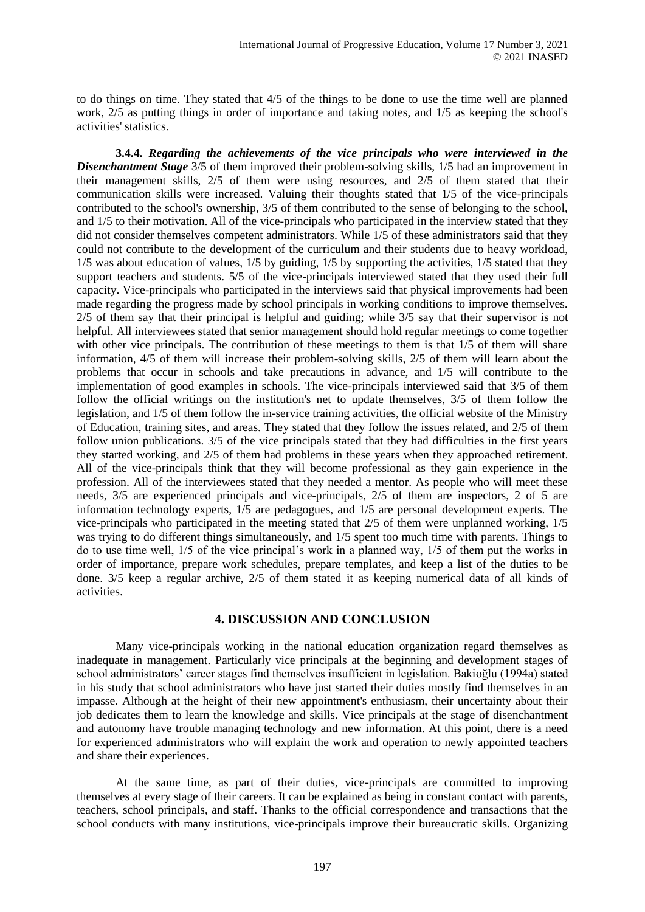to do things on time. They stated that 4/5 of the things to be done to use the time well are planned work, 2/5 as putting things in order of importance and taking notes, and 1/5 as keeping the school's activities' statistics.

**3.4.4.** *Regarding the achievements of the vice principals who were interviewed in the Disenchantment Stage* 3/5 of them improved their problem-solving skills, 1/5 had an improvement in their management skills, 2/5 of them were using resources, and 2/5 of them stated that their communication skills were increased. Valuing their thoughts stated that 1/5 of the vice-principals contributed to the school's ownership, 3/5 of them contributed to the sense of belonging to the school, and 1/5 to their motivation. All of the vice-principals who participated in the interview stated that they did not consider themselves competent administrators. While 1/5 of these administrators said that they could not contribute to the development of the curriculum and their students due to heavy workload, 1/5 was about education of values, 1/5 by guiding, 1/5 by supporting the activities, 1/5 stated that they support teachers and students. 5/5 of the vice-principals interviewed stated that they used their full capacity. Vice-principals who participated in the interviews said that physical improvements had been made regarding the progress made by school principals in working conditions to improve themselves. 2/5 of them say that their principal is helpful and guiding; while 3/5 say that their supervisor is not helpful. All interviewees stated that senior management should hold regular meetings to come together with other vice principals. The contribution of these meetings to them is that  $1/5$  of them will share information, 4/5 of them will increase their problem-solving skills, 2/5 of them will learn about the problems that occur in schools and take precautions in advance, and 1/5 will contribute to the implementation of good examples in schools. The vice-principals interviewed said that 3/5 of them follow the official writings on the institution's net to update themselves, 3/5 of them follow the legislation, and 1/5 of them follow the in-service training activities, the official website of the Ministry of Education, training sites, and areas. They stated that they follow the issues related, and 2/5 of them follow union publications. 3/5 of the vice principals stated that they had difficulties in the first years they started working, and 2/5 of them had problems in these years when they approached retirement. All of the vice-principals think that they will become professional as they gain experience in the profession. All of the interviewees stated that they needed a mentor. As people who will meet these needs, 3/5 are experienced principals and vice-principals, 2/5 of them are inspectors, 2 of 5 are information technology experts, 1/5 are pedagogues, and 1/5 are personal development experts. The vice-principals who participated in the meeting stated that 2/5 of them were unplanned working, 1/5 was trying to do different things simultaneously, and 1/5 spent too much time with parents. Things to do to use time well, 1/5 of the vice principal's work in a planned way, 1/5 of them put the works in order of importance, prepare work schedules, prepare templates, and keep a list of the duties to be done. 3/5 keep a regular archive, 2/5 of them stated it as keeping numerical data of all kinds of activities.

#### **4. DISCUSSION AND CONCLUSION**

Many vice-principals working in the national education organization regard themselves as inadequate in management. Particularly vice principals at the beginning and development stages of school administrators' career stages find themselves insufficient in legislation. Bakioğlu (1994a) stated in his study that school administrators who have just started their duties mostly find themselves in an impasse. Although at the height of their new appointment's enthusiasm, their uncertainty about their job dedicates them to learn the knowledge and skills. Vice principals at the stage of disenchantment and autonomy have trouble managing technology and new information. At this point, there is a need for experienced administrators who will explain the work and operation to newly appointed teachers and share their experiences.

At the same time, as part of their duties, vice-principals are committed to improving themselves at every stage of their careers. It can be explained as being in constant contact with parents, teachers, school principals, and staff. Thanks to the official correspondence and transactions that the school conducts with many institutions, vice-principals improve their bureaucratic skills. Organizing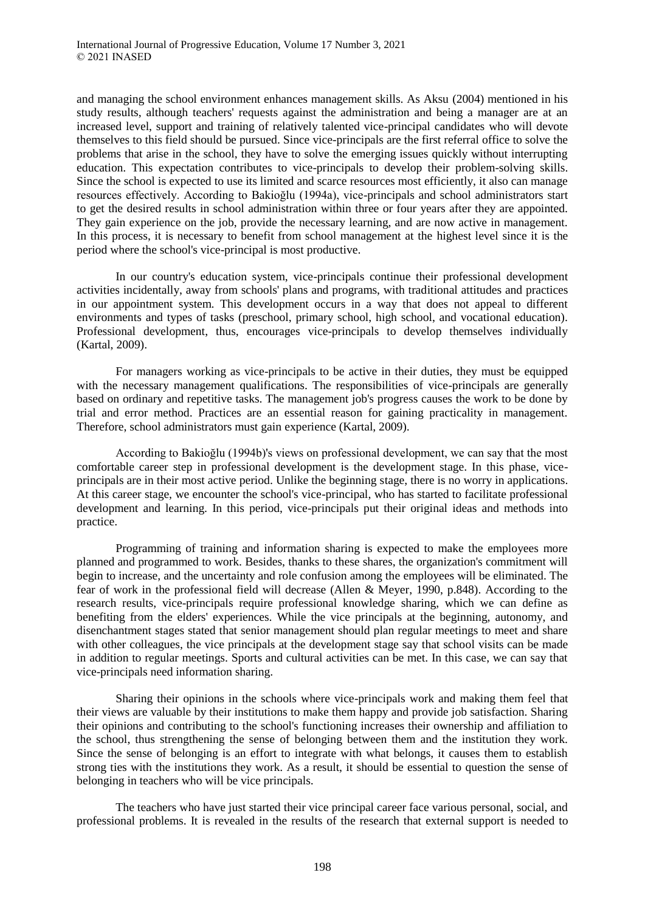and managing the school environment enhances management skills. As Aksu (2004) mentioned in his study results, although teachers' requests against the administration and being a manager are at an increased level, support and training of relatively talented vice-principal candidates who will devote themselves to this field should be pursued. Since vice-principals are the first referral office to solve the problems that arise in the school, they have to solve the emerging issues quickly without interrupting education. This expectation contributes to vice-principals to develop their problem-solving skills. Since the school is expected to use its limited and scarce resources most efficiently, it also can manage resources effectively. According to Bakioğlu (1994a), vice-principals and school administrators start to get the desired results in school administration within three or four years after they are appointed. They gain experience on the job, provide the necessary learning, and are now active in management. In this process, it is necessary to benefit from school management at the highest level since it is the period where the school's vice-principal is most productive.

In our country's education system, vice-principals continue their professional development activities incidentally, away from schools' plans and programs, with traditional attitudes and practices in our appointment system. This development occurs in a way that does not appeal to different environments and types of tasks (preschool, primary school, high school, and vocational education). Professional development, thus, encourages vice-principals to develop themselves individually (Kartal, 2009).

For managers working as vice-principals to be active in their duties, they must be equipped with the necessary management qualifications. The responsibilities of vice-principals are generally based on ordinary and repetitive tasks. The management job's progress causes the work to be done by trial and error method. Practices are an essential reason for gaining practicality in management. Therefore, school administrators must gain experience (Kartal, 2009).

According to Bakioğlu (1994b)'s views on professional development, we can say that the most comfortable career step in professional development is the development stage. In this phase, viceprincipals are in their most active period. Unlike the beginning stage, there is no worry in applications. At this career stage, we encounter the school's vice-principal, who has started to facilitate professional development and learning. In this period, vice-principals put their original ideas and methods into practice.

Programming of training and information sharing is expected to make the employees more planned and programmed to work. Besides, thanks to these shares, the organization's commitment will begin to increase, and the uncertainty and role confusion among the employees will be eliminated. The fear of work in the professional field will decrease (Allen & Meyer, 1990, p.848). According to the research results, vice-principals require professional knowledge sharing, which we can define as benefiting from the elders' experiences. While the vice principals at the beginning, autonomy, and disenchantment stages stated that senior management should plan regular meetings to meet and share with other colleagues, the vice principals at the development stage say that school visits can be made in addition to regular meetings. Sports and cultural activities can be met. In this case, we can say that vice-principals need information sharing.

Sharing their opinions in the schools where vice-principals work and making them feel that their views are valuable by their institutions to make them happy and provide job satisfaction. Sharing their opinions and contributing to the school's functioning increases their ownership and affiliation to the school, thus strengthening the sense of belonging between them and the institution they work. Since the sense of belonging is an effort to integrate with what belongs, it causes them to establish strong ties with the institutions they work. As a result, it should be essential to question the sense of belonging in teachers who will be vice principals.

The teachers who have just started their vice principal career face various personal, social, and professional problems. It is revealed in the results of the research that external support is needed to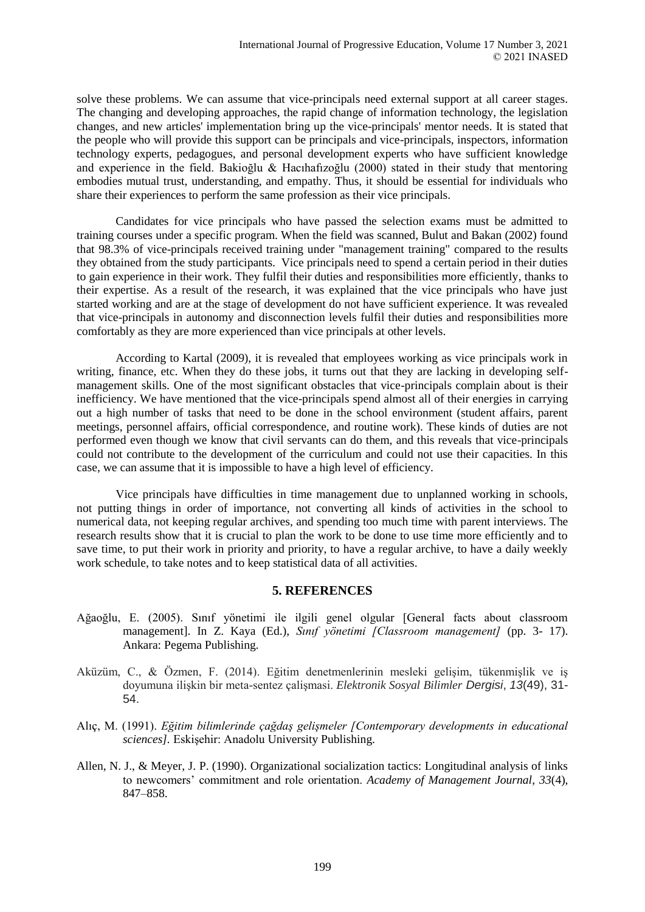solve these problems. We can assume that vice-principals need external support at all career stages. The changing and developing approaches, the rapid change of information technology, the legislation changes, and new articles' implementation bring up the vice-principals' mentor needs. It is stated that the people who will provide this support can be principals and vice-principals, inspectors, information technology experts, pedagogues, and personal development experts who have sufficient knowledge and experience in the field. Bakioğlu & Hacıhafızoğlu (2000) stated in their study that mentoring embodies mutual trust, understanding, and empathy. Thus, it should be essential for individuals who share their experiences to perform the same profession as their vice principals.

Candidates for vice principals who have passed the selection exams must be admitted to training courses under a specific program. When the field was scanned, Bulut and Bakan (2002) found that 98.3% of vice-principals received training under "management training" compared to the results they obtained from the study participants. Vice principals need to spend a certain period in their duties to gain experience in their work. They fulfil their duties and responsibilities more efficiently, thanks to their expertise. As a result of the research, it was explained that the vice principals who have just started working and are at the stage of development do not have sufficient experience. It was revealed that vice-principals in autonomy and disconnection levels fulfil their duties and responsibilities more comfortably as they are more experienced than vice principals at other levels.

According to Kartal (2009), it is revealed that employees working as vice principals work in writing, finance, etc. When they do these jobs, it turns out that they are lacking in developing selfmanagement skills. One of the most significant obstacles that vice-principals complain about is their inefficiency. We have mentioned that the vice-principals spend almost all of their energies in carrying out a high number of tasks that need to be done in the school environment (student affairs, parent meetings, personnel affairs, official correspondence, and routine work). These kinds of duties are not performed even though we know that civil servants can do them, and this reveals that vice-principals could not contribute to the development of the curriculum and could not use their capacities. In this case, we can assume that it is impossible to have a high level of efficiency.

Vice principals have difficulties in time management due to unplanned working in schools, not putting things in order of importance, not converting all kinds of activities in the school to numerical data, not keeping regular archives, and spending too much time with parent interviews. The research results show that it is crucial to plan the work to be done to use time more efficiently and to save time, to put their work in priority and priority, to have a regular archive, to have a daily weekly work schedule, to take notes and to keep statistical data of all activities.

## **5. REFERENCES**

- Ağaoğlu, E. (2005). Sınıf yönetimi ile ilgili genel olgular [General facts about classroom management]. In Z. Kaya (Ed.), *Sınıf yönetimi [Classroom management]* (pp. 3- 17). Ankara: Pegema Publishing.
- Aküzüm, C., & Özmen, F. (2014). Eğitim denetmenlerinin mesleki gelişim, tükenmişlik ve iş doyumuna ilişkin bir meta-sentez çalişmasi. *Elektronik Sosyal Bilimler Dergisi*, *13*(49), 31- 54.
- Alıç, M. (1991). *Eğitim bilimlerinde çağdaş gelişmeler [Contemporary developments in educational sciences].* Eskişehir: Anadolu University Publishing.
- Allen, N. J., & Meyer, J. P. (1990). Organizational socialization tactics: Longitudinal analysis of links to newcomers' commitment and role orientation. *Academy of Management Journal, 33*(4), 847–858.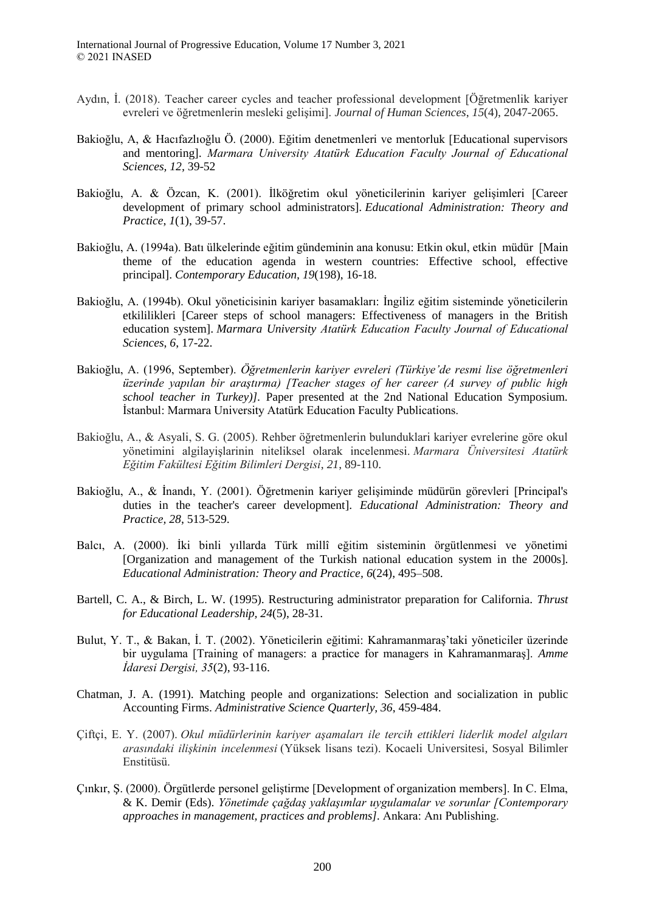International Journal of Progressive Education, Volume 17 Number 3, 2021 © 2021 INASED

- Aydın, İ. (2018). Teacher career cycles and teacher professional development [Öğretmenlik kariyer evreleri ve öğretmenlerin mesleki gelişimi]. *Journal of Human Sciences*, *15*(4), 2047-2065.
- Bakioğlu, A, & Hacıfazlıoğlu Ö. (2000). Eğitim denetmenleri ve mentorluk [Educational supervisors and mentoring]. *Marmara University Atatürk Education Faculty Journal of Educational Sciences, 12,* 39-52
- Bakioğlu, A. & Özcan, K. (2001). İlköğretim okul yöneticilerinin kariyer gelişimleri [Career development of primary school administrators]. *Educational Administration: Theory and Practice*, *1*(1), 39-57.
- Bakioğlu, A. (1994a). Batı ülkelerinde eğitim gündeminin ana konusu: Etkin okul, etkin müdür [Main theme of the education agenda in western countries: Effective school, effective principal]. *Contemporary Education, 19*(198), 16-18.
- Bakioğlu, A. (1994b). Okul yöneticisinin kariyer basamakları: İngiliz eğitim sisteminde yöneticilerin etkililikleri [Career steps of school managers: Effectiveness of managers in the British education system]. *Marmara University Atatürk Education Faculty Journal of Educational Sciences*, *6*, 17-22.
- Bakioğlu, A. (1996, September). *Öğretmenlerin kariyer evreleri (Türkiye'de resmi lise öğretmenleri üzerinde yapılan bir araştırma) [Teacher stages of her career (A survey of public high school teacher in Turkey)].* Paper presented at the 2nd National Education Symposium. İstanbul: Marmara University Atatürk Education Faculty Publications.
- Bakioğlu, A., & Asyali, S. G. (2005). Rehber öğretmenlerin bulunduklari kariyer evrelerine göre okul yönetimini algilayişlarinin niteliksel olarak incelenmesi. *Marmara Üniversitesi Atatürk Eğitim Fakültesi Eğitim Bilimleri Dergisi*, *21*, 89-110.
- Bakioğlu, A., & İnandı, Y. (2001). Öğretmenin kariyer gelişiminde müdürün görevleri [Principal's duties in the teacher's career development]. *Educational Administration: Theory and Practice, 28*, 513-529.
- Balcı, A. (2000). İki binli yıllarda Türk millî eğitim sisteminin örgütlenmesi ve yönetimi [Organization and management of the Turkish national education system in the 2000s]. *Educational Administration: Theory and Practice, 6*(24), 495–508.
- Bartell, C. A., & Birch, L. W. (1995). Restructuring administrator preparation for California. *Thrust for Educational Leadership, 24*(5), 28-31.
- Bulut, Y. T., & Bakan, İ. T. (2002). Yöneticilerin eğitimi: Kahramanmaraş'taki yöneticiler üzerinde bir uygulama [Training of managers: a practice for managers in Kahramanmaraş]. *Amme İdaresi Dergisi, 35*(2), 93-116.
- Chatman, J. A. (1991). Matching people and organizations: Selection and socialization in public Accounting Firms. *Administrative Science Quarterly, 36*, 459-484.
- Çiftçi, E. Y. (2007). *Okul müdürlerinin kariyer aşamaları ile tercih ettikleri liderlik model algıları arasındaki ilişkinin incelenmesi* (Yüksek lisans tezi). Kocaeli Universitesi, Sosyal Bilimler Enstitüsü.
- Çınkır, Ş. (2000). Örgütlerde personel geliştirme [Development of organization members]. In C. Elma, & K. Demir (Eds). *Yönetimde çağdaş yaklaşımlar uygulamalar ve sorunlar [Contemporary approaches in management, practices and problems].* Ankara: Anı Publishing.